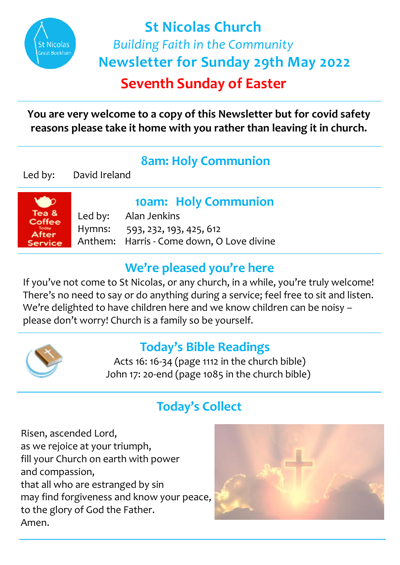

# **Seventh Sunday of Easter St Nicolas Church**  *Building Faith in the Community*  **Newsletter for Sunday 29th May 2022**

**You are very welcome to a copy of this Newsletter but for covid safety reasons please take it home with you rather than leaving it in church.** 

# **8am: Holy Communion**

Led by: David Ireland



## **10am: Holy Communion**

Led by: Alan Jenkins Hymns: 593, 232, 193, 425, 612 Anthem: Harris - Come down, O Love divine

# **We're pleased you're here**

If you've not come to St Nicolas, or any church, in a while, you're truly welcome! There's no need to say or do anything during a service; feel free to sit and listen. We're delighted to have children here and we know children can be noisy – please don't worry! Church is a family so be yourself.



# **Today's Bible Readings**

 Acts 16: 16-34 (page 1112 in the church bible) John 17: 20-end (page 1085 in the church bible)

# **Today's Collect**

Risen, ascended Lord, as we rejoice at your triumph, fill your Church on earth with power and compassion, that all who are estranged by sin may find forgiveness and know your peace, to the glory of God the Father. Amen.

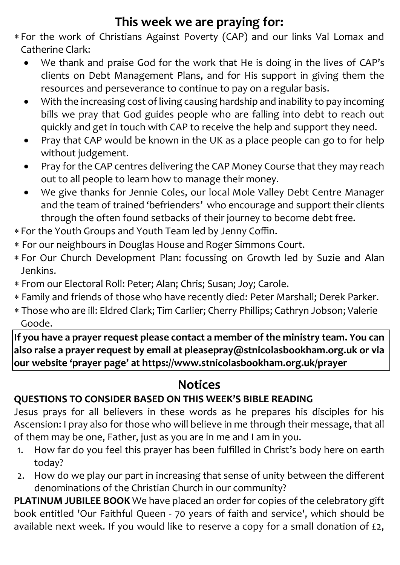# **This week we are praying for:**

- For the work of Christians Against Poverty (CAP) and our links Val Lomax and Catherine Clark:
	- We thank and praise God for the work that He is doing in the lives of CAP's clients on Debt Management Plans, and for His support in giving them the resources and perseverance to continue to pay on a regular basis.
	- With the increasing cost of living causing hardship and inability to pay incoming bills we pray that God guides people who are falling into debt to reach out quickly and get in touch with CAP to receive the help and support they need.
	- Pray that CAP would be known in the UK as a place people can go to for help without judgement.
	- Pray for the CAP centres delivering the CAP Money Course that they may reach out to all people to learn how to manage their money.
	- We give thanks for Jennie Coles, our local Mole Valley Debt Centre Manager and the team of trained 'befrienders' who encourage and support their clients through the often found setbacks of their journey to become debt free.
- For the Youth Groups and Youth Team led by Jenny Coffin.
- For our neighbours in Douglas House and Roger Simmons Court.
- For Our Church Development Plan: focussing on Growth led by Suzie and Alan Jenkins.
- From our Electoral Roll: Peter; Alan; Chris; Susan; Joy; Carole.
- Family and friends of those who have recently died: Peter Marshall; Derek Parker.
- Those who are ill: Eldred Clark; Tim Carlier; Cherry Phillips; Cathryn Jobson; Valerie Goode.

**If you have a prayer request please contact a member of the ministry team. You can also raise a prayer request by email at pleasepray@stnicolasbookham.org.uk or via our website 'prayer page' at https://www.stnicolasbookham.org.uk/prayer**

## **Notices**

### **QUESTIONS TO CONSIDER BASED ON THIS WEEK'S BIBLE READING**

Jesus prays for all believers in these words as he prepares his disciples for his Ascension: I pray also for those who will believe in me through their message, that all of them may be one, Father, just as you are in me and I am in you.

- 1. How far do you feel this prayer has been fulfilled in Christ's body here on earth today?
- 2. How do we play our part in increasing that sense of unity between the different denominations of the Christian Church in our community?

**PLATINUM JUBILEE BOOK** We have placed an order for copies of the celebratory gift book entitled 'Our Faithful Queen - 70 years of faith and service', which should be available next week. If you would like to reserve a copy for a small donation of £2,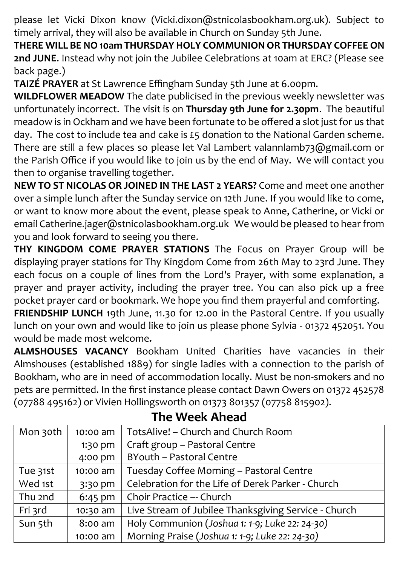please let Vicki Dixon know (Vicki.dixon@stnicolasbookham.org.uk). Subject to timely arrival, they will also be available in Church on Sunday 5th June.

**THERE WILL BE NO10am THURSDAY HOLY COMMUNION OR THURSDAY COFFEE ON 2nd JUNE**. Instead why not join the Jubilee Celebrations at 10am at ERC? (Please see back page.)

**TAIZÉ PRAYER** at St Lawrence Effingham Sunday 5th June at 6.00pm.

**WILDFLOWER MEADOW** The date publicised in the previous weekly newsletter was unfortunately incorrect. The visit is on **Thursday 9th June for 2.30pm**. The beautiful meadow is in Ockham and we have been fortunate to be offered a slot just for us that day. The cost to include tea and cake is £5 donation to the National Garden scheme. There are still a few places so please let Val Lambert valannlamb73@gmail.com or the Parish Office if you would like to join us by the end of May. We will contact you then to organise travelling together.

**NEW TO ST NICOLAS OR JOINED IN THE LAST 2 YEARS?** Come and meet one another over a simple lunch after the Sunday service on 12th June. If you would like to come, or want to know more about the event, please speak to Anne, Catherine, or Vicki or email Catherine.jager@stnicolasbookham.org.uk We would be pleased to hear from you and look forward to seeing you there.

**THY KINGDOM COME PRAYER STATIONS** The Focus on Prayer Group will be displaying prayer stations for Thy Kingdom Come from 26th May to 23rd June. They each focus on a couple of lines from the Lord's Prayer, with some explanation, a prayer and prayer activity, including the prayer tree. You can also pick up a free pocket prayer card or bookmark. We hope you find them prayerful and comforting.

**FRIENDSHIP LUNCH** 19th June, 11.30 for 12.00 in the Pastoral Centre. If you usually lunch on your own and would like to join us please phone Sylvia - 01372 452051. You would be made most welcome**.**

**ALMSHOUSES VACANCY** Bookham United Charities have vacancies in their Almshouses (established 1889) for single ladies with a connection to the parish of Bookham, who are in need of accommodation locally. Must be non-smokers and no pets are permitted. In the first instance please contact Dawn Owers on 01372 452578 (07788 495162) or Vivien Hollingsworth on 01373 801357 (07758 815902).

| Mon 30th | 10:00 am  | TotsAlive! - Church and Church Room                  |
|----------|-----------|------------------------------------------------------|
|          | 1:30 pm   | Craft group - Pastoral Centre                        |
|          | 4:00 pm   | BYouth - Pastoral Centre                             |
| Tue 31st | 10:00 am  | Tuesday Coffee Morning - Pastoral Centre             |
| Wed 1st  | 3:30 pm   | Celebration for the Life of Derek Parker - Church    |
| Thu 2nd  | $6:45$ pm | Choir Practice -- Church                             |
| Fri 3rd  | 10:30 am  | Live Stream of Jubilee Thanksgiving Service - Church |
| Sun 5th  | 8:00 am   | Holy Communion (Joshua 1: 1-9; Luke 22: 24-30)       |
|          | 10:00 am  | Morning Praise (Joshua 1: 1-9; Luke 22: 24-30)       |

### **The Week Ahead**